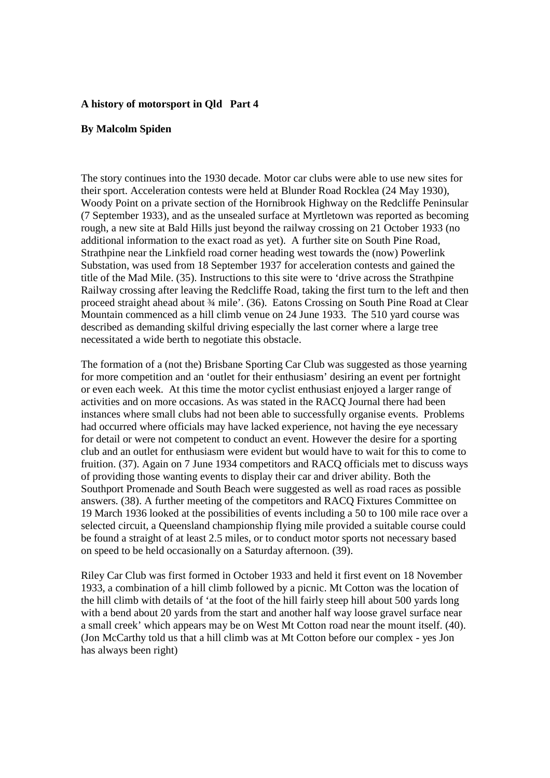## **A history of motorsport in Qld Part 4**

## **By Malcolm Spiden**

The story continues into the 1930 decade. Motor car clubs were able to use new sites for their sport. Acceleration contests were held at Blunder Road Rocklea (24 May 1930), Woody Point on a private section of the Hornibrook Highway on the Redcliffe Peninsular (7 September 1933), and as the unsealed surface at Myrtletown was reported as becoming rough, a new site at Bald Hills just beyond the railway crossing on 21 October 1933 (no additional information to the exact road as yet). A further site on South Pine Road, Strathpine near the Linkfield road corner heading west towards the (now) Powerlink Substation, was used from 18 September 1937 for acceleration contests and gained the title of the Mad Mile. (35). Instructions to this site were to 'drive across the Strathpine Railway crossing after leaving the Redcliffe Road, taking the first turn to the left and then proceed straight ahead about ¾ mile'. (36). Eatons Crossing on South Pine Road at Clear Mountain commenced as a hill climb venue on 24 June 1933. The 510 yard course was described as demanding skilful driving especially the last corner where a large tree necessitated a wide berth to negotiate this obstacle.

The formation of a (not the) Brisbane Sporting Car Club was suggested as those yearning for more competition and an 'outlet for their enthusiasm' desiring an event per fortnight or even each week. At this time the motor cyclist enthusiast enjoyed a larger range of activities and on more occasions. As was stated in the RACQ Journal there had been instances where small clubs had not been able to successfully organise events. Problems had occurred where officials may have lacked experience, not having the eye necessary for detail or were not competent to conduct an event. However the desire for a sporting club and an outlet for enthusiasm were evident but would have to wait for this to come to fruition. (37). Again on 7 June 1934 competitors and RACQ officials met to discuss ways of providing those wanting events to display their car and driver ability. Both the Southport Promenade and South Beach were suggested as well as road races as possible answers. (38). A further meeting of the competitors and RACQ Fixtures Committee on 19 March 1936 looked at the possibilities of events including a 50 to 100 mile race over a selected circuit, a Queensland championship flying mile provided a suitable course could be found a straight of at least 2.5 miles, or to conduct motor sports not necessary based on speed to be held occasionally on a Saturday afternoon. (39).

Riley Car Club was first formed in October 1933 and held it first event on 18 November 1933, a combination of a hill climb followed by a picnic. Mt Cotton was the location of the hill climb with details of 'at the foot of the hill fairly steep hill about 500 yards long with a bend about 20 yards from the start and another half way loose gravel surface near a small creek' which appears may be on West Mt Cotton road near the mount itself. (40). (Jon McCarthy told us that a hill climb was at Mt Cotton before our complex - yes Jon has always been right)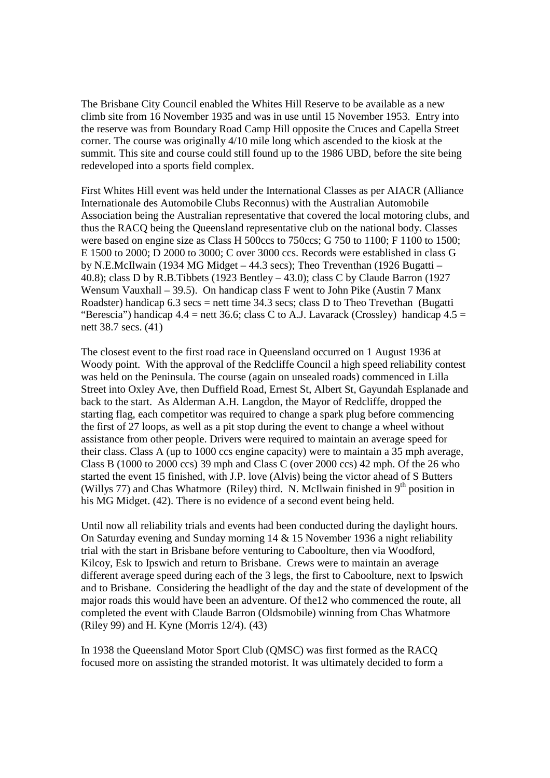The Brisbane City Council enabled the Whites Hill Reserve to be available as a new climb site from 16 November 1935 and was in use until 15 November 1953. Entry into the reserve was from Boundary Road Camp Hill opposite the Cruces and Capella Street corner. The course was originally 4/10 mile long which ascended to the kiosk at the summit. This site and course could still found up to the 1986 UBD, before the site being redeveloped into a sports field complex.

First Whites Hill event was held under the International Classes as per AIACR (Alliance Internationale des Automobile Clubs Reconnus) with the Australian Automobile Association being the Australian representative that covered the local motoring clubs, and thus the RACQ being the Queensland representative club on the national body. Classes were based on engine size as Class H 500ccs to 750ccs; G 750 to 1100; F 1100 to 1500; E 1500 to 2000; D 2000 to 3000; C over 3000 ccs. Records were established in class G by N.E.McIlwain (1934 MG Midget – 44.3 secs); Theo Treventhan (1926 Bugatti – 40.8); class D by R.B.Tibbets (1923 Bentley – 43.0); class C by Claude Barron (1927 Wensum Vauxhall – 39.5). On handicap class F went to John Pike (Austin 7 Manx Roadster) handicap  $6.3$  secs = nett time  $34.3$  secs; class D to Theo Trevethan (Bugatti "Berescia") handicap  $4.4$  = nett 36.6; class C to A.J. Lavarack (Crossley) handicap  $4.5$  = nett 38.7 secs. (41)

The closest event to the first road race in Queensland occurred on 1 August 1936 at Woody point. With the approval of the Redcliffe Council a high speed reliability contest was held on the Peninsula. The course (again on unsealed roads) commenced in Lilla Street into Oxley Ave, then Duffield Road, Ernest St, Albert St, Gayundah Esplanade and back to the start. As Alderman A.H. Langdon, the Mayor of Redcliffe, dropped the starting flag, each competitor was required to change a spark plug before commencing the first of 27 loops, as well as a pit stop during the event to change a wheel without assistance from other people. Drivers were required to maintain an average speed for their class. Class A (up to 1000 ccs engine capacity) were to maintain a 35 mph average, Class B (1000 to 2000 ccs) 39 mph and Class C (over 2000 ccs) 42 mph. Of the 26 who started the event 15 finished, with J.P. love (Alvis) being the victor ahead of S Butters (Willys 77) and Chas Whatmore (Riley) third. N. McIlwain finished in  $9<sup>th</sup>$  position in his MG Midget. (42). There is no evidence of a second event being held.

Until now all reliability trials and events had been conducted during the daylight hours. On Saturday evening and Sunday morning 14 & 15 November 1936 a night reliability trial with the start in Brisbane before venturing to Caboolture, then via Woodford, Kilcoy, Esk to Ipswich and return to Brisbane. Crews were to maintain an average different average speed during each of the 3 legs, the first to Caboolture, next to Ipswich and to Brisbane. Considering the headlight of the day and the state of development of the major roads this would have been an adventure. Of the12 who commenced the route, all completed the event with Claude Barron (Oldsmobile) winning from Chas Whatmore (Riley 99) and H. Kyne (Morris 12/4). (43)

In 1938 the Queensland Motor Sport Club (QMSC) was first formed as the RACQ focused more on assisting the stranded motorist. It was ultimately decided to form a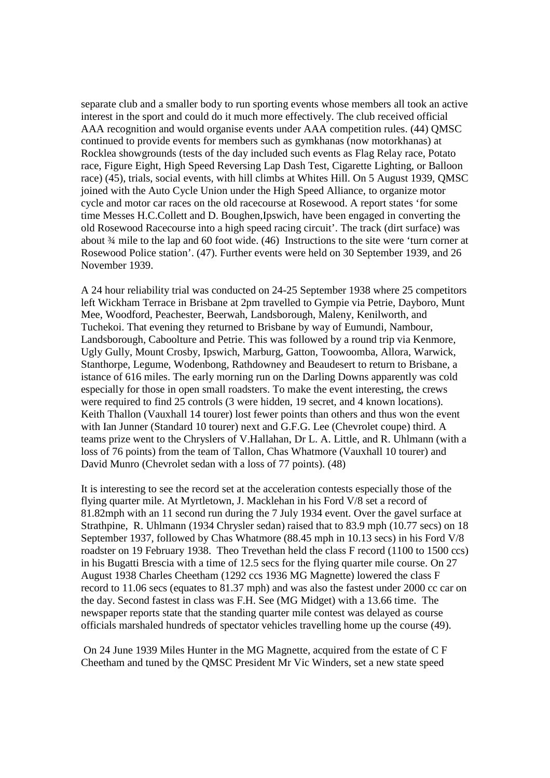separate club and a smaller body to run sporting events whose members all took an active interest in the sport and could do it much more effectively. The club received official AAA recognition and would organise events under AAA competition rules. (44) QMSC continued to provide events for members such as gymkhanas (now motorkhanas) at Rocklea showgrounds (tests of the day included such events as Flag Relay race, Potato race, Figure Eight, High Speed Reversing Lap Dash Test, Cigarette Lighting, or Balloon race) (45), trials, social events, with hill climbs at Whites Hill. On 5 August 1939, QMSC joined with the Auto Cycle Union under the High Speed Alliance, to organize motor cycle and motor car races on the old racecourse at Rosewood. A report states 'for some time Messes H.C.Collett and D. Boughen,Ipswich, have been engaged in converting the old Rosewood Racecourse into a high speed racing circuit'. The track (dirt surface) was about ¾ mile to the lap and 60 foot wide. (46) Instructions to the site were 'turn corner at Rosewood Police station'. (47). Further events were held on 30 September 1939, and 26 November 1939.

A 24 hour reliability trial was conducted on 24-25 September 1938 where 25 competitors left Wickham Terrace in Brisbane at 2pm travelled to Gympie via Petrie, Dayboro, Munt Mee, Woodford, Peachester, Beerwah, Landsborough, Maleny, Kenilworth, and Tuchekoi. That evening they returned to Brisbane by way of Eumundi, Nambour, Landsborough, Caboolture and Petrie. This was followed by a round trip via Kenmore, Ugly Gully, Mount Crosby, Ipswich, Marburg, Gatton, Toowoomba, Allora, Warwick, Stanthorpe, Legume, Wodenbong, Rathdowney and Beaudesert to return to Brisbane, a istance of 616 miles. The early morning run on the Darling Downs apparently was cold especially for those in open small roadsters. To make the event interesting, the crews were required to find 25 controls (3 were hidden, 19 secret, and 4 known locations). Keith Thallon (Vauxhall 14 tourer) lost fewer points than others and thus won the event with Ian Junner (Standard 10 tourer) next and G.F.G. Lee (Chevrolet coupe) third. A teams prize went to the Chryslers of V.Hallahan, Dr L. A. Little, and R. Uhlmann (with a loss of 76 points) from the team of Tallon, Chas Whatmore (Vauxhall 10 tourer) and David Munro (Chevrolet sedan with a loss of 77 points). (48)

It is interesting to see the record set at the acceleration contests especially those of the flying quarter mile. At Myrtletown, J. Macklehan in his Ford V/8 set a record of 81.82mph with an 11 second run during the 7 July 1934 event. Over the gavel surface at Strathpine, R. Uhlmann (1934 Chrysler sedan) raised that to 83.9 mph (10.77 secs) on 18 September 1937, followed by Chas Whatmore (88.45 mph in 10.13 secs) in his Ford V/8 roadster on 19 February 1938. Theo Trevethan held the class F record (1100 to 1500 ccs) in his Bugatti Brescia with a time of 12.5 secs for the flying quarter mile course. On 27 August 1938 Charles Cheetham (1292 ccs 1936 MG Magnette) lowered the class F record to 11.06 secs (equates to 81.37 mph) and was also the fastest under 2000 cc car on the day. Second fastest in class was F.H. See (MG Midget) with a 13.66 time. The newspaper reports state that the standing quarter mile contest was delayed as course officials marshaled hundreds of spectator vehicles travelling home up the course (49).

On 24 June 1939 Miles Hunter in the MG Magnette, acquired from the estate of C F Cheetham and tuned by the QMSC President Mr Vic Winders, set a new state speed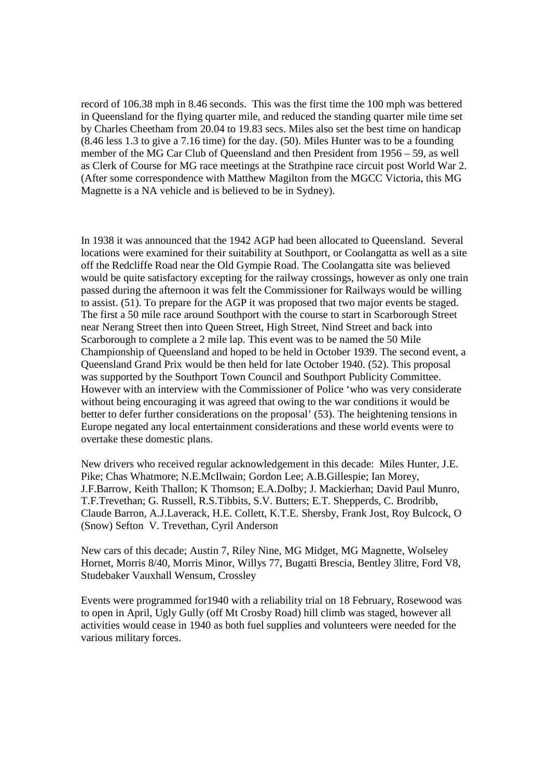record of 106.38 mph in 8.46 seconds. This was the first time the 100 mph was bettered in Queensland for the flying quarter mile, and reduced the standing quarter mile time set by Charles Cheetham from 20.04 to 19.83 secs. Miles also set the best time on handicap (8.46 less 1.3 to give a 7.16 time) for the day. (50). Miles Hunter was to be a founding member of the MG Car Club of Queensland and then President from 1956 – 59, as well as Clerk of Course for MG race meetings at the Strathpine race circuit post World War 2. (After some correspondence with Matthew Magilton from the MGCC Victoria, this MG Magnette is a NA vehicle and is believed to be in Sydney).

In 1938 it was announced that the 1942 AGP had been allocated to Queensland. Several locations were examined for their suitability at Southport, or Coolangatta as well as a site off the Redcliffe Road near the Old Gympie Road. The Coolangatta site was believed would be quite satisfactory excepting for the railway crossings, however as only one train passed during the afternoon it was felt the Commissioner for Railways would be willing to assist. (51). To prepare for the AGP it was proposed that two major events be staged. The first a 50 mile race around Southport with the course to start in Scarborough Street near Nerang Street then into Queen Street, High Street, Nind Street and back into Scarborough to complete a 2 mile lap. This event was to be named the 50 Mile Championship of Queensland and hoped to be held in October 1939. The second event, a Queensland Grand Prix would be then held for late October 1940. (52). This proposal was supported by the Southport Town Council and Southport Publicity Committee. However with an interview with the Commissioner of Police 'who was very considerate without being encouraging it was agreed that owing to the war conditions it would be better to defer further considerations on the proposal' (53). The heightening tensions in Europe negated any local entertainment considerations and these world events were to overtake these domestic plans.

New drivers who received regular acknowledgement in this decade: Miles Hunter, J.E. Pike; Chas Whatmore; N.E.McIlwain; Gordon Lee; A.B.Gillespie; Ian Morey, J.F.Barrow, Keith Thallon; K Thomson; E.A.Dolby; J. Mackierhan; David Paul Munro, T.F.Trevethan; G. Russell, R.S.Tibbits, S.V. Butters; E.T. Shepperds, C. Brodribb, Claude Barron, A.J.Laverack, H.E. Collett, K.T.E. Shersby, Frank Jost, Roy Bulcock, O (Snow) Sefton V. Trevethan, Cyril Anderson

New cars of this decade; Austin 7, Riley Nine, MG Midget, MG Magnette, Wolseley Hornet, Morris 8/40, Morris Minor, Willys 77, Bugatti Brescia, Bentley 3litre, Ford V8, Studebaker Vauxhall Wensum, Crossley

Events were programmed for1940 with a reliability trial on 18 February, Rosewood was to open in April, Ugly Gully (off Mt Crosby Road) hill climb was staged, however all activities would cease in 1940 as both fuel supplies and volunteers were needed for the various military forces.